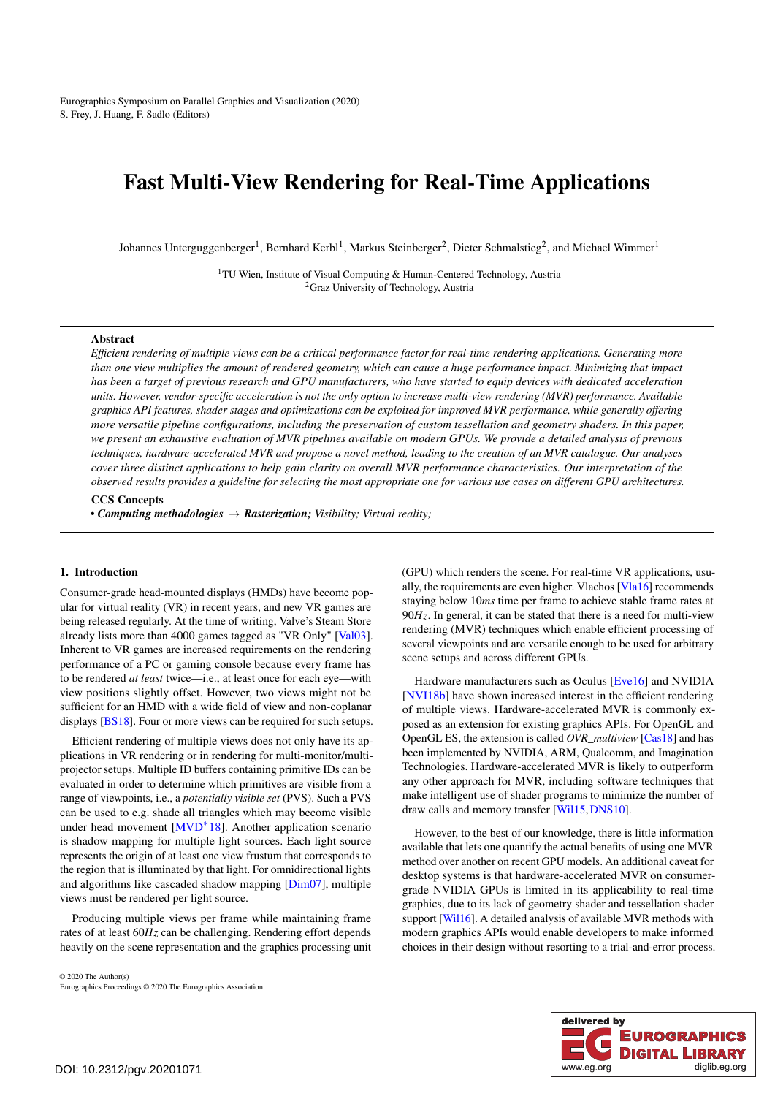<span id="page-0-0"></span>Eurographics Symposium on Parallel Graphics and Visualization (2020) S. Frey, J. Huang, F. Sadlo (Editors)

# Fast Multi-View Rendering for Real-Time Applications

Johannes Unterguggenberger<sup>1</sup>, Bernhard Kerbl<sup>1</sup>, Markus Steinberger<sup>2</sup>, Dieter Schmalstieg<sup>2</sup>, and Michael Wimmer<sup>1</sup>

<sup>1</sup>TU Wien, Institute of Visual Computing & Human-Centered Technology, Austria <sup>2</sup>Graz University of Technology, Austria

## Abstract

*Efficient rendering of multiple views can be a critical performance factor for real-time rendering applications. Generating more than one view multiplies the amount of rendered geometry, which can cause a huge performance impact. Minimizing that impact has been a target of previous research and GPU manufacturers, who have started to equip devices with dedicated acceleration units. However, vendor-specific acceleration is not the only option to increase multi-view rendering (MVR) performance. Available graphics API features, shader stages and optimizations can be exploited for improved MVR performance, while generally offering more versatile pipeline configurations, including the preservation of custom tessellation and geometry shaders. In this paper, we present an exhaustive evaluation of MVR pipelines available on modern GPUs. We provide a detailed analysis of previous techniques, hardware-accelerated MVR and propose a novel method, leading to the creation of an MVR catalogue. Our analyses cover three distinct applications to help gain clarity on overall MVR performance characteristics. Our interpretation of the observed results provides a guideline for selecting the most appropriate one for various use cases on different GPU architectures.*

# CCS Concepts

*• Computing methodologies* → *Rasterization; Visibility; Virtual reality;*

#### 1. Introduction

Consumer-grade head-mounted displays (HMDs) have become popular for virtual reality (VR) in recent years, and new VR games are being released regularly. At the time of writing, Valve's Steam Store already lists more than 4000 games tagged as "VR Only" [\[Val03\]](#page-10-0). Inherent to VR games are increased requirements on the rendering performance of a PC or gaming console because every frame has to be rendered *at least* twice—i.e., at least once for each eye—with view positions slightly offset. However, two views might not be sufficient for an HMD with a wide field of view and non-coplanar displays [\[BS18\]](#page-10-1). Four or more views can be required for such setups.

Efficient rendering of multiple views does not only have its applications in VR rendering or in rendering for multi-monitor/multiprojector setups. Multiple ID buffers containing primitive IDs can be evaluated in order to determine which primitives are visible from a range of viewpoints, i.e., a *potentially visible set* (PVS). Such a PVS can be used to e.g. shade all triangles which may become visible under head movement [\[MVD](#page-10-2)<sup>∗</sup> 18]. Another application scenario is shadow mapping for multiple light sources. Each light source represents the origin of at least one view frustum that corresponds to the region that is illuminated by that light. For omnidirectional lights and algorithms like cascaded shadow mapping [\[Dim07\]](#page-10-3), multiple views must be rendered per light source.

Producing multiple views per frame while maintaining frame rates of at least 60*Hz* can be challenging. Rendering effort depends heavily on the scene representation and the graphics processing unit

© 2020 The Author(s) Eurographics Proceedings © 2020 The Eurographics Association. (GPU) which renders the scene. For real-time VR applications, usually, the requirements are even higher. Vlachos [\[Vla16\]](#page-10-4) recommends staying below 10*ms* time per frame to achieve stable frame rates at 90*Hz*. In general, it can be stated that there is a need for multi-view rendering (MVR) techniques which enable efficient processing of several viewpoints and are versatile enough to be used for arbitrary scene setups and across different GPUs.

Hardware manufacturers such as Oculus [\[Eve16\]](#page-10-5) and NVIDIA [\[NVI18b\]](#page-10-6) have shown increased interest in the efficient rendering of multiple views. Hardware-accelerated MVR is commonly exposed as an extension for existing graphics APIs. For OpenGL and OpenGL ES, the extension is called *OVR\_multiview* [\[Cas18\]](#page-10-7) and has been implemented by NVIDIA, ARM, Qualcomm, and Imagination Technologies. Hardware-accelerated MVR is likely to outperform any other approach for MVR, including software techniques that make intelligent use of shader programs to minimize the number of draw calls and memory transfer [\[Wil15,](#page-10-8)[DNS10\]](#page-10-9).

However, to the best of our knowledge, there is little information available that lets one quantify the actual benefits of using one MVR method over another on recent GPU models. An additional caveat for desktop systems is that hardware-accelerated MVR on consumergrade NVIDIA GPUs is limited in its applicability to real-time graphics, due to its lack of geometry shader and tessellation shader support [\[Wil16\]](#page-10-10). A detailed analysis of available MVR methods with modern graphics APIs would enable developers to make informed choices in their design without resorting to a trial-and-error process.

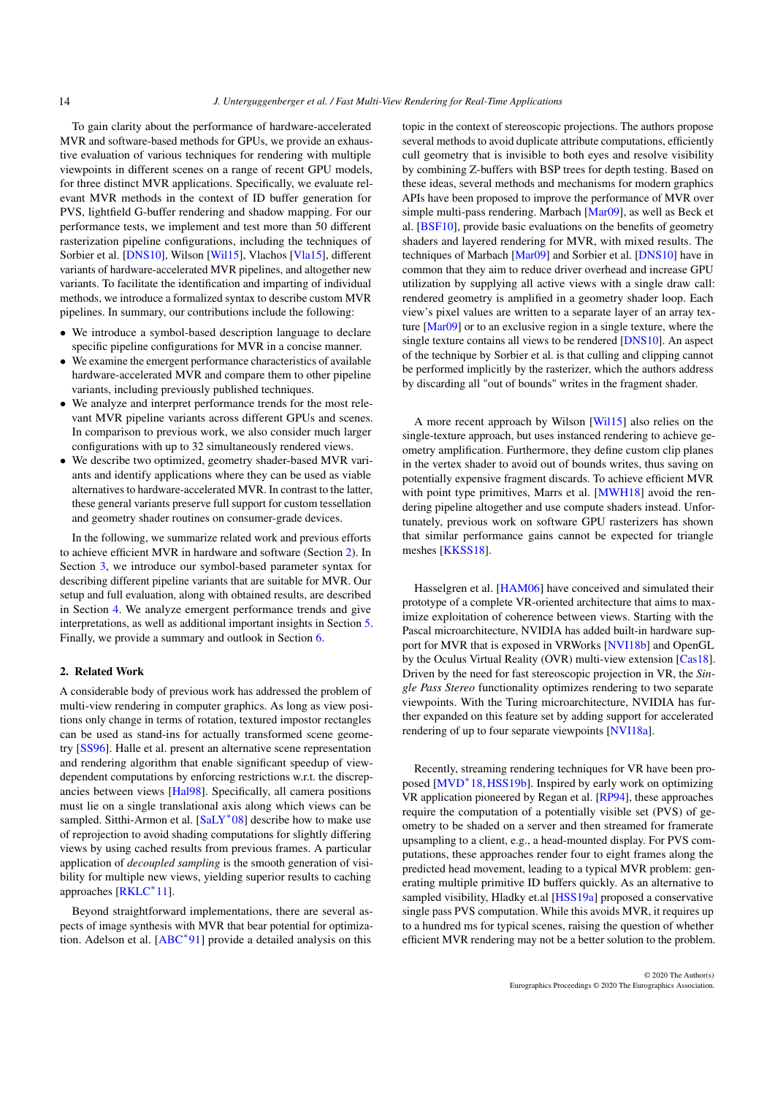<span id="page-1-1"></span>To gain clarity about the performance of hardware-accelerated MVR and software-based methods for GPUs, we provide an exhaustive evaluation of various techniques for rendering with multiple viewpoints in different scenes on a range of recent GPU models, for three distinct MVR applications. Specifically, we evaluate relevant MVR methods in the context of ID buffer generation for PVS, lightfield G-buffer rendering and shadow mapping. For our performance tests, we implement and test more than 50 different rasterization pipeline configurations, including the techniques of Sorbier et al. [\[DNS10\]](#page-10-9), Wilson [\[Wil15\]](#page-10-8), Vlachos [\[Vla15\]](#page-10-11), different variants of hardware-accelerated MVR pipelines, and altogether new variants. To facilitate the identification and imparting of individual methods, we introduce a formalized syntax to describe custom MVR pipelines. In summary, our contributions include the following:

- We introduce a symbol-based description language to declare specific pipeline configurations for MVR in a concise manner.
- We examine the emergent performance characteristics of available hardware-accelerated MVR and compare them to other pipeline variants, including previously published techniques.
- We analyze and interpret performance trends for the most relevant MVR pipeline variants across different GPUs and scenes. In comparison to previous work, we also consider much larger configurations with up to 32 simultaneously rendered views.
- We describe two optimized, geometry shader-based MVR variants and identify applications where they can be used as viable alternatives to hardware-accelerated MVR. In contrast to the latter, these general variants preserve full support for custom tessellation and geometry shader routines on consumer-grade devices.

In the following, we summarize related work and previous efforts to achieve efficient MVR in hardware and software (Section [2\)](#page-1-0). In Section [3,](#page-2-0) we introduce our symbol-based parameter syntax for describing different pipeline variants that are suitable for MVR. Our setup and full evaluation, along with obtained results, are described in Section [4.](#page-3-0) We analyze emergent performance trends and give interpretations, as well as additional important insights in Section [5.](#page-8-0) Finally, we provide a summary and outlook in Section [6.](#page-9-0)

## <span id="page-1-0"></span>2. Related Work

A considerable body of previous work has addressed the problem of multi-view rendering in computer graphics. As long as view positions only change in terms of rotation, textured impostor rectangles can be used as stand-ins for actually transformed scene geometry [\[SS96\]](#page-10-12). Halle et al. present an alternative scene representation and rendering algorithm that enable significant speedup of viewdependent computations by enforcing restrictions w.r.t. the discrepancies between views [\[Hal98\]](#page-10-13). Specifically, all camera positions must lie on a single translational axis along which views can be sampled. Sitthi-Armon et al. [\[SaLY](#page-10-14)<sup>\*08]</sup> describe how to make use of reprojection to avoid shading computations for slightly differing views by using cached results from previous frames. A particular application of *decoupled sampling* is the smooth generation of visibility for multiple new views, yielding superior results to caching approaches [\[RKLC](#page-10-15)<sup>∗</sup> 11].

Beyond straightforward implementations, there are several aspects of image synthesis with MVR that bear potential for optimization. Adelson et al. [\[ABC](#page-10-16)<sup>∗</sup> 91] provide a detailed analysis on this

topic in the context of stereoscopic projections. The authors propose several methods to avoid duplicate attribute computations, efficiently cull geometry that is invisible to both eyes and resolve visibility by combining Z-buffers with BSP trees for depth testing. Based on these ideas, several methods and mechanisms for modern graphics APIs have been proposed to improve the performance of MVR over simple multi-pass rendering. Marbach [\[Mar09\]](#page-10-17), as well as Beck et al. [\[BSF10\]](#page-10-18), provide basic evaluations on the benefits of geometry shaders and layered rendering for MVR, with mixed results. The techniques of Marbach [\[Mar09\]](#page-10-17) and Sorbier et al. [\[DNS10\]](#page-10-9) have in common that they aim to reduce driver overhead and increase GPU utilization by supplying all active views with a single draw call: rendered geometry is amplified in a geometry shader loop. Each view's pixel values are written to a separate layer of an array texture [\[Mar09\]](#page-10-17) or to an exclusive region in a single texture, where the single texture contains all views to be rendered [\[DNS10\]](#page-10-9). An aspect of the technique by Sorbier et al. is that culling and clipping cannot be performed implicitly by the rasterizer, which the authors address by discarding all "out of bounds" writes in the fragment shader.

A more recent approach by Wilson [\[Wil15\]](#page-10-8) also relies on the single-texture approach, but uses instanced rendering to achieve geometry amplification. Furthermore, they define custom clip planes in the vertex shader to avoid out of bounds writes, thus saving on potentially expensive fragment discards. To achieve efficient MVR with point type primitives, Marrs et al. [\[MWH18\]](#page-10-19) avoid the rendering pipeline altogether and use compute shaders instead. Unfortunately, previous work on software GPU rasterizers has shown that similar performance gains cannot be expected for triangle meshes [\[KKSS18\]](#page-10-20).

Hasselgren et al. [\[HAM06\]](#page-10-21) have conceived and simulated their prototype of a complete VR-oriented architecture that aims to maximize exploitation of coherence between views. Starting with the Pascal microarchitecture, NVIDIA has added built-in hardware support for MVR that is exposed in VRWorks [\[NVI18b\]](#page-10-6) and OpenGL by the Oculus Virtual Reality (OVR) multi-view extension [\[Cas18\]](#page-10-7). Driven by the need for fast stereoscopic projection in VR, the *Single Pass Stereo* functionality optimizes rendering to two separate viewpoints. With the Turing microarchitecture, NVIDIA has further expanded on this feature set by adding support for accelerated rendering of up to four separate viewpoints [\[NVI18a\]](#page-10-22).

Recently, streaming rendering techniques for VR have been pro-posed [\[MVD](#page-10-2)<sup>\*</sup>18, HSS19b]. Inspired by early work on optimizing VR application pioneered by Regan et al. [\[RP94\]](#page-10-24), these approaches require the computation of a potentially visible set (PVS) of geometry to be shaded on a server and then streamed for framerate upsampling to a client, e.g., a head-mounted display. For PVS computations, these approaches render four to eight frames along the predicted head movement, leading to a typical MVR problem: generating multiple primitive ID buffers quickly. As an alternative to sampled visibility, Hladky et.al [\[HSS19a\]](#page-10-25) proposed a conservative single pass PVS computation. While this avoids MVR, it requires up to a hundred ms for typical scenes, raising the question of whether efficient MVR rendering may not be a better solution to the problem.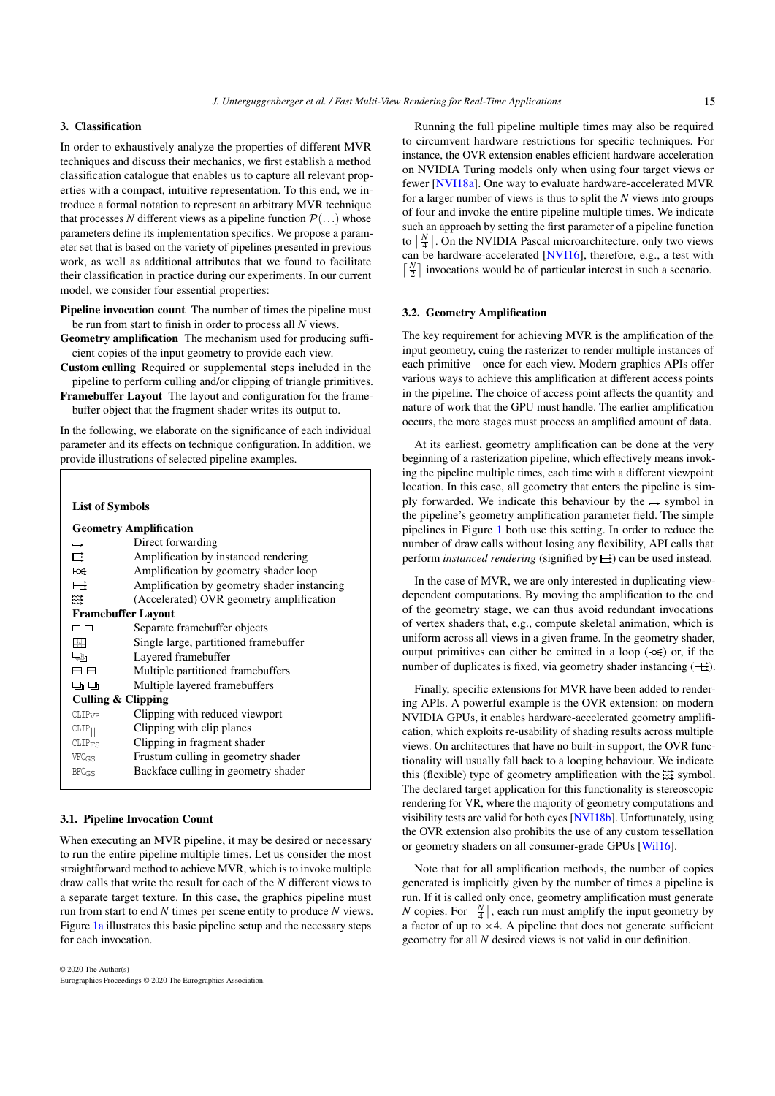# <span id="page-2-2"></span><span id="page-2-0"></span>3. Classification

In order to exhaustively analyze the properties of different MVR techniques and discuss their mechanics, we first establish a method classification catalogue that enables us to capture all relevant properties with a compact, intuitive representation. To this end, we introduce a formal notation to represent an arbitrary MVR technique that processes *N* different views as a pipeline function  $\mathcal{P}(\ldots)$  whose parameters define its implementation specifics. We propose a parameter set that is based on the variety of pipelines presented in previous work, as well as additional attributes that we found to facilitate their classification in practice during our experiments. In our current model, we consider four essential properties:

- Pipeline invocation count The number of times the pipeline must be run from start to finish in order to process all *N* views.
- Geometry amplification The mechanism used for producing sufficient copies of the input geometry to provide each view.
- Custom culling Required or supplemental steps included in the pipeline to perform culling and/or clipping of triangle primitives.

Framebuffer Layout The layout and configuration for the framebuffer object that the fragment shader writes its output to.

In the following, we elaborate on the significance of each individual parameter and its effects on technique configuration. In addition, we provide illustrations of selected pipeline examples.

| <b>List of Symbols</b> |                                             |
|------------------------|---------------------------------------------|
|                        | <b>Geometry Amplification</b>               |
| $\rightarrow$          | Direct forwarding                           |
| 目                      | Amplification by instanced rendering        |
| ⊦œ                     | Amplification by geometry shader loop       |
| 一日                     | Amplification by geometry shader instancing |
| 쮾                      | (Accelerated) OVR geometry amplification    |
|                        | <b>Framebuffer Layout</b>                   |
| $\square$ - $\square$  | Separate framebuffer objects                |
| B.                     | Single large, partitioned framebuffer       |
| Q,                     | Layered framebuffer                         |
| <b>m</b> m             | Multiple partitioned framebuffers           |
| o o                    | Multiple layered framebuffers               |
|                        | <b>Culling &amp; Clipping</b>               |
| CLIP <sub>VP</sub>     | Clipping with reduced viewport              |
| $CLIP_{  }$            | Clipping with clip planes                   |
| $CLIP_{FS}$            | Clipping in fragment shader                 |
| VFCGS                  | Frustum culling in geometry shader          |
| $BFC_{GS}$             | Backface culling in geometry shader         |
|                        |                                             |

## <span id="page-2-1"></span>3.1. Pipeline Invocation Count

When executing an MVR pipeline, it may be desired or necessary to run the entire pipeline multiple times. Let us consider the most straightforward method to achieve MVR, which is to invoke multiple draw calls that write the result for each of the *N* different views to a separate target texture. In this case, the graphics pipeline must run from start to end *N* times per scene entity to produce *N* views. Figure [1a](#page-3-1) illustrates this basic pipeline setup and the necessary steps for each invocation.

Running the full pipeline multiple times may also be required to circumvent hardware restrictions for specific techniques. For instance, the OVR extension enables efficient hardware acceleration on NVIDIA Turing models only when using four target views or fewer [\[NVI18a\]](#page-10-22). One way to evaluate hardware-accelerated MVR for a larger number of views is thus to split the *N* views into groups of four and invoke the entire pipeline multiple times. We indicate such an approach by setting the first parameter of a pipeline function to  $\left[\frac{N}{4}\right]$ . On the NVIDIA Pascal microarchitecture, only two views can be hardware-accelerated [\[NVI16\]](#page-10-26), therefore, e.g., a test with  $\lceil \frac{N}{2} \rceil$  invocations would be of particular interest in such a scenario.

#### 3.2. Geometry Amplification

The key requirement for achieving MVR is the amplification of the input geometry, cuing the rasterizer to render multiple instances of each primitive—once for each view. Modern graphics APIs offer various ways to achieve this amplification at different access points in the pipeline. The choice of access point affects the quantity and nature of work that the GPU must handle. The earlier amplification occurs, the more stages must process an amplified amount of data.

At its earliest, geometry amplification can be done at the very beginning of a rasterization pipeline, which effectively means invoking the pipeline multiple times, each time with a different viewpoint location. In this case, all geometry that enters the pipeline is simply forwarded. We indicate this behaviour by the  $\rightarrow$  symbol in the pipeline's geometry amplification parameter field. The simple pipelines in Figure [1](#page-3-1) both use this setting. In order to reduce the number of draw calls without losing any flexibility, API calls that perform *instanced rendering* (signified by  $\Xi$ ) can be used instead.

In the case of MVR, we are only interested in duplicating viewdependent computations. By moving the amplification to the end of the geometry stage, we can thus avoid redundant invocations of vertex shaders that, e.g., compute skeletal animation, which is uniform across all views in a given frame. In the geometry shader, output primitives can either be emitted in a loop  $(\forall x)$  or, if the number of duplicates is fixed, via geometry shader instancing  $(\overrightarrow{E})$ .

Finally, specific extensions for MVR have been added to rendering APIs. A powerful example is the OVR extension: on modern NVIDIA GPUs, it enables hardware-accelerated geometry amplification, which exploits re-usability of shading results across multiple views. On architectures that have no built-in support, the OVR functionality will usually fall back to a looping behaviour. We indicate this (flexible) type of geometry amplification with the  $\mathbb{R}^3$  symbol. The declared target application for this functionality is stereoscopic rendering for VR, where the majority of geometry computations and visibility tests are valid for both eyes [\[NVI18b\]](#page-10-6). Unfortunately, using the OVR extension also prohibits the use of any custom tessellation or geometry shaders on all consumer-grade GPUs [\[Wil16\]](#page-10-10).

Note that for all amplification methods, the number of copies generated is implicitly given by the number of times a pipeline is run. If it is called only once, geometry amplification must generate *N* copies. For  $\lceil \frac{N}{4} \rceil$ , each run must amplify the input geometry by a factor of up to  $\times$ 4. A pipeline that does not generate sufficient geometry for all *N* desired views is not valid in our definition.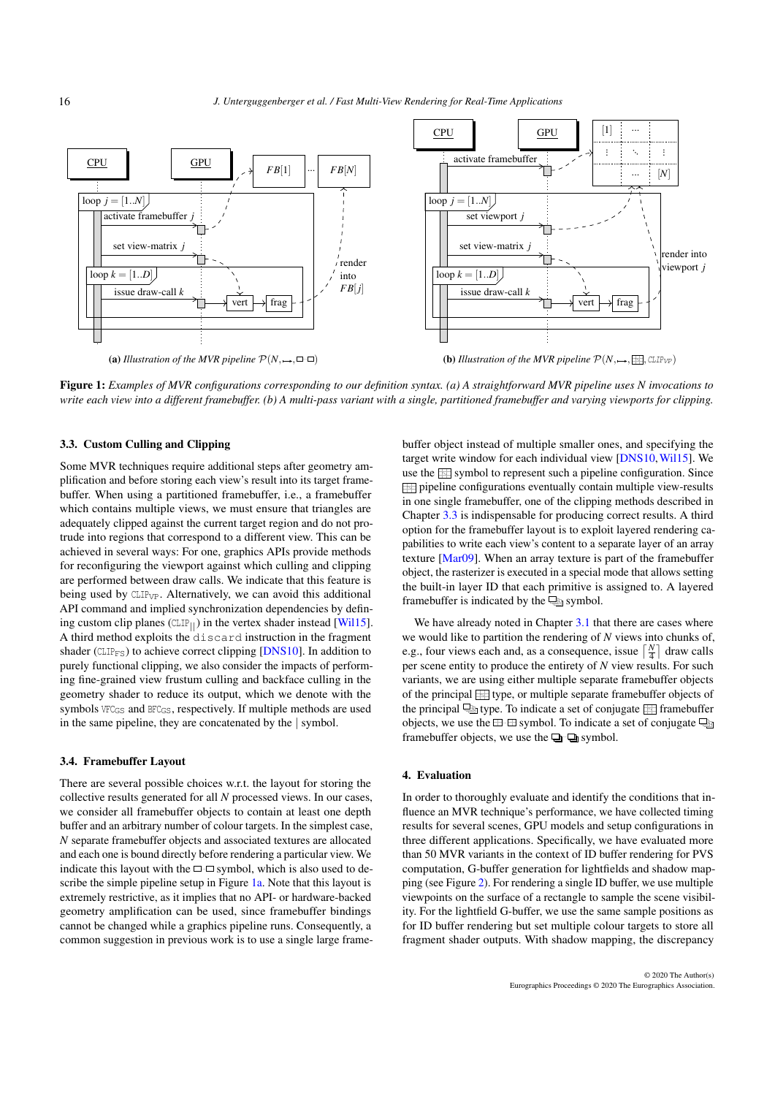<span id="page-3-3"></span><span id="page-3-1"></span>

Figure 1: *Examples of MVR configurations corresponding to our definition syntax. (a) A straightforward MVR pipeline uses N invocations to write each view into a different framebuffer. (b) A multi-pass variant with a single, partitioned framebuffer and varying viewports for clipping.*

# <span id="page-3-2"></span>3.3. Custom Culling and Clipping

Some MVR techniques require additional steps after geometry amplification and before storing each view's result into its target framebuffer. When using a partitioned framebuffer, i.e., a framebuffer which contains multiple views, we must ensure that triangles are adequately clipped against the current target region and do not protrude into regions that correspond to a different view. This can be achieved in several ways: For one, graphics APIs provide methods for reconfiguring the viewport against which culling and clipping are performed between draw calls. We indicate that this feature is being used by CLIP<sub>VP</sub>. Alternatively, we can avoid this additional API command and implied synchronization dependencies by defining custom clip planes ( $CLIP_{||}$ ) in the vertex shader instead [\[Wil15\]](#page-10-8). A third method exploits the discard instruction in the fragment shader ( $CLIP_{FS}$ ) to achieve correct clipping [\[DNS10\]](#page-10-9). In addition to purely functional clipping, we also consider the impacts of performing fine-grained view frustum culling and backface culling in the geometry shader to reduce its output, which we denote with the symbols  $VFC_{GS}$  and  $BFC_{GS}$ , respectively. If multiple methods are used in the same pipeline, they are concatenated by the | symbol.

# 3.4. Framebuffer Layout

There are several possible choices w.r.t. the layout for storing the collective results generated for all *N* processed views. In our cases, we consider all framebuffer objects to contain at least one depth buffer and an arbitrary number of colour targets. In the simplest case, *N* separate framebuffer objects and associated textures are allocated and each one is bound directly before rendering a particular view. We indicate this layout with the  $\Box$  symbol, which is also used to de-scribe the simple pipeline setup in Figure [1a.](#page-3-1) Note that this layout is extremely restrictive, as it implies that no API- or hardware-backed geometry amplification can be used, since framebuffer bindings cannot be changed while a graphics pipeline runs. Consequently, a common suggestion in previous work is to use a single large frame-

buffer object instead of multiple smaller ones, and specifying the target write window for each individual view [\[DNS10,](#page-10-9)[Wil15\]](#page-10-8). We use the  $\equiv$  symbol to represent such a pipeline configuration. Since pipeline configurations eventually contain multiple view-results in one single framebuffer, one of the clipping methods described in Chapter [3.3](#page-3-2) is indispensable for producing correct results. A third option for the framebuffer layout is to exploit layered rendering capabilities to write each view's content to a separate layer of an array texture [\[Mar09\]](#page-10-17). When an array texture is part of the framebuffer object, the rasterizer is executed in a special mode that allows setting the built-in layer ID that each primitive is assigned to. A layered framebuffer is indicated by the  $\Box$  symbol.

We have already noted in Chapter [3.1](#page-2-1) that there are cases where we would like to partition the rendering of *N* views into chunks of, e.g., four views each and, as a consequence, issue  $\lceil \frac{N}{4} \rceil$  draw calls per scene entity to produce the entirety of *N* view results. For such variants, we are using either multiple separate framebuffer objects of the principal  $\equiv$  type, or multiple separate framebuffer objects of the principal  $\Box$  type. To indicate a set of conjugate  $\Box$  framebuffer objects, we use the  $\boxplus \boxplus$  symbol. To indicate a set of conjugate  $\Box$ framebuffer objects, we use the  $\Box$  symbol.

# <span id="page-3-0"></span>4. Evaluation

In order to thoroughly evaluate and identify the conditions that influence an MVR technique's performance, we have collected timing results for several scenes, GPU models and setup configurations in three different applications. Specifically, we have evaluated more than 50 MVR variants in the context of ID buffer rendering for PVS computation, G-buffer generation for lightfields and shadow mapping (see Figure [2\)](#page-4-0). For rendering a single ID buffer, we use multiple viewpoints on the surface of a rectangle to sample the scene visibility. For the lightfield G-buffer, we use the same sample positions as for ID buffer rendering but set multiple colour targets to store all fragment shader outputs. With shadow mapping, the discrepancy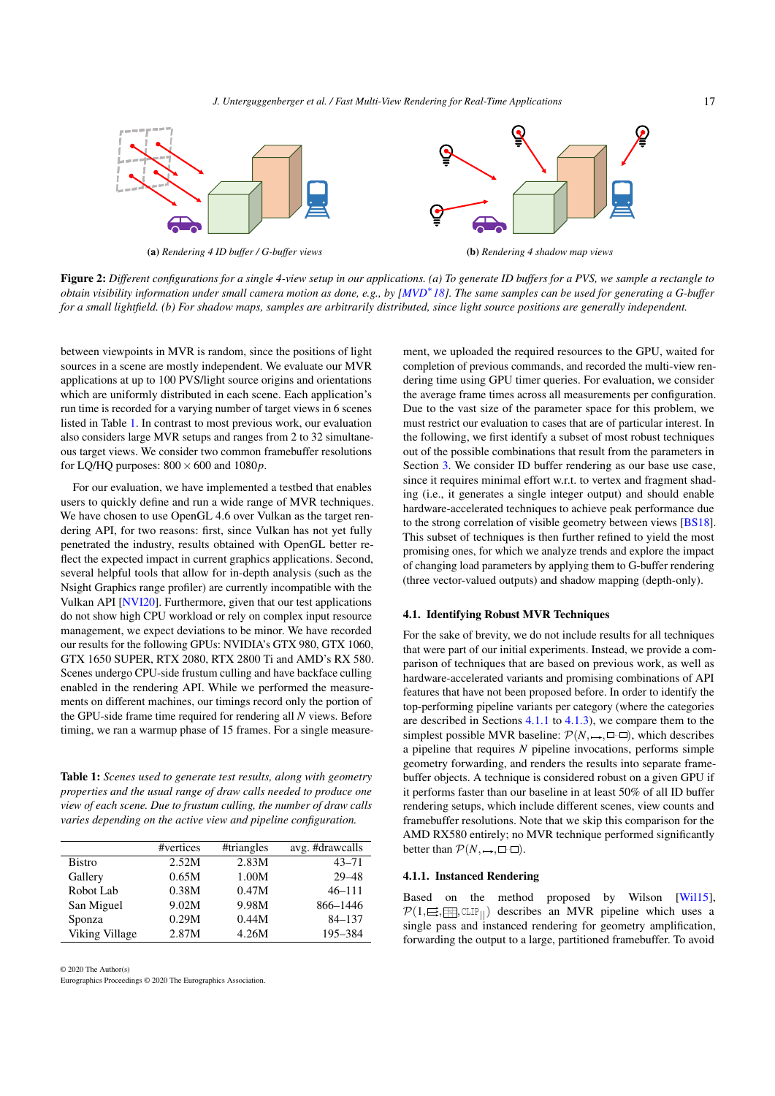*J. Unterguggenberger et al. / Fast Multi-View Rendering for Real-Time Applications*

<span id="page-4-3"></span><span id="page-4-0"></span>

Figure 2: *Different configurations for a single 4-view setup in our applications. (a) To generate ID buffers for a PVS, we sample a rectangle to obtain visibility information under small camera motion as done, e.g., by [\[MVD](#page-10-2)*<sup>∗</sup> *18]. The same samples can be used for generating a G-buffer for a small lightfield. (b) For shadow maps, samples are arbitrarily distributed, since light source positions are generally independent.*

between viewpoints in MVR is random, since the positions of light sources in a scene are mostly independent. We evaluate our MVR applications at up to 100 PVS/light source origins and orientations which are uniformly distributed in each scene. Each application's run time is recorded for a varying number of target views in 6 scenes listed in Table [1.](#page-4-1) In contrast to most previous work, our evaluation also considers large MVR setups and ranges from 2 to 32 simultaneous target views. We consider two common framebuffer resolutions for LQ/HQ purposes:  $800 \times 600$  and  $1080p$ .

For our evaluation, we have implemented a testbed that enables users to quickly define and run a wide range of MVR techniques. We have chosen to use OpenGL 4.6 over Vulkan as the target rendering API, for two reasons: first, since Vulkan has not yet fully penetrated the industry, results obtained with OpenGL better reflect the expected impact in current graphics applications. Second, several helpful tools that allow for in-depth analysis (such as the Nsight Graphics range profiler) are currently incompatible with the Vulkan API [\[NVI20\]](#page-10-27). Furthermore, given that our test applications do not show high CPU workload or rely on complex input resource management, we expect deviations to be minor. We have recorded our results for the following GPUs: NVIDIA's GTX 980, GTX 1060, GTX 1650 SUPER, RTX 2080, RTX 2800 Ti and AMD's RX 580. Scenes undergo CPU-side frustum culling and have backface culling enabled in the rendering API. While we performed the measurements on different machines, our timings record only the portion of the GPU-side frame time required for rendering all *N* views. Before timing, we ran a warmup phase of 15 frames. For a single measure-

<span id="page-4-1"></span>Table 1: *Scenes used to generate test results, along with geometry properties and the usual range of draw calls needed to produce one view of each scene. Due to frustum culling, the number of draw calls varies depending on the active view and pipeline configuration.*

|                | #vertices | #triangles | avg. #drawcalls |
|----------------|-----------|------------|-----------------|
| <b>Bistro</b>  | 2.52M     | 2.83M      | $43 - 71$       |
| Gallery        | 0.65M     | 1.00M      | $29 - 48$       |
| Robot Lab      | 0.38M     | 0.47M      | $46 - 111$      |
| San Miguel     | 9.02M     | 9.98M      | 866-1446        |
| Sponza         | 0.29M     | 0.44M      | $84 - 137$      |
| Viking Village | 2.87M     | 4.26M      | 195-384         |
|                |           |            |                 |

© 2020 The Author(s)

Eurographics Proceedings © 2020 The Eurographics Association.

ment, we uploaded the required resources to the GPU, waited for completion of previous commands, and recorded the multi-view rendering time using GPU timer queries. For evaluation, we consider the average frame times across all measurements per configuration. Due to the vast size of the parameter space for this problem, we must restrict our evaluation to cases that are of particular interest. In the following, we first identify a subset of most robust techniques out of the possible combinations that result from the parameters in Section [3.](#page-2-0) We consider ID buffer rendering as our base use case, since it requires minimal effort w.r.t. to vertex and fragment shading (i.e., it generates a single integer output) and should enable hardware-accelerated techniques to achieve peak performance due to the strong correlation of visible geometry between views [\[BS18\]](#page-10-1). This subset of techniques is then further refined to yield the most promising ones, for which we analyze trends and explore the impact of changing load parameters by applying them to G-buffer rendering (three vector-valued outputs) and shadow mapping (depth-only).

## 4.1. Identifying Robust MVR Techniques

For the sake of brevity, we do not include results for all techniques that were part of our initial experiments. Instead, we provide a comparison of techniques that are based on previous work, as well as hardware-accelerated variants and promising combinations of API features that have not been proposed before. In order to identify the top-performing pipeline variants per category (where the categories are described in Sections [4.1.1](#page-4-2) to [4.1.3\)](#page-5-0), we compare them to the simplest possible MVR baseline:  $\mathcal{P}(N, \rightarrow, \square \square)$ , which describes a pipeline that requires *N* pipeline invocations, performs simple geometry forwarding, and renders the results into separate framebuffer objects. A technique is considered robust on a given GPU if it performs faster than our baseline in at least 50% of all ID buffer rendering setups, which include different scenes, view counts and framebuffer resolutions. Note that we skip this comparison for the AMD RX580 entirely; no MVR technique performed significantly better than  $\mathcal{P}(N, \rightarrow, \square \neg \square)$ .

# <span id="page-4-2"></span>4.1.1. Instanced Rendering

Based on the method proposed by Wilson [\[Wil15\]](#page-10-8),  $\mathcal{P}(1,\equiv,\equiv,\text{CLIP}_{||})$  describes an MVR pipeline which uses a single pass and instanced rendering for geometry amplification, forwarding the output to a large, partitioned framebuffer. To avoid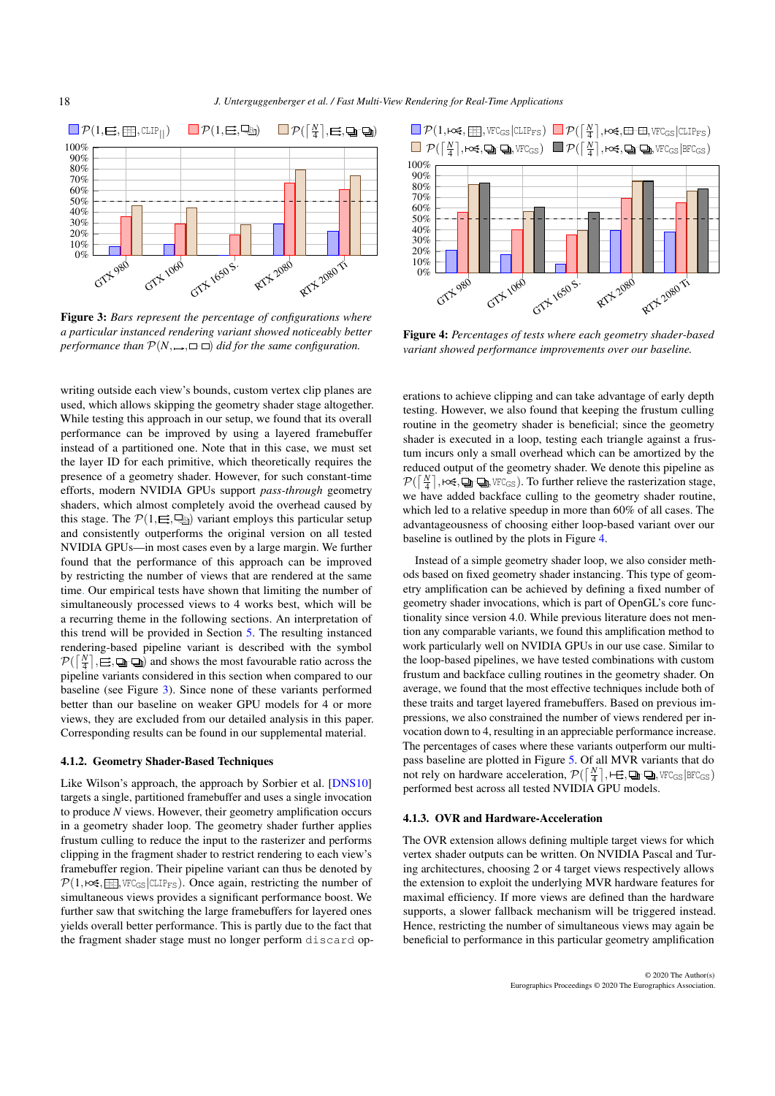<span id="page-5-3"></span><span id="page-5-1"></span>

Figure 3: *Bars represent the percentage of configurations where a particular instanced rendering variant showed noticeably better performance than*  $\mathcal{P}(N, \rightarrow, \square \square)$  *did for the same configuration.* 

writing outside each view's bounds, custom vertex clip planes are used, which allows skipping the geometry shader stage altogether. While testing this approach in our setup, we found that its overall performance can be improved by using a layered framebuffer instead of a partitioned one. Note that in this case, we must set the layer ID for each primitive, which theoretically requires the presence of a geometry shader. However, for such constant-time efforts, modern NVIDIA GPUs support *pass-through* geometry shaders, which almost completely avoid the overhead caused by this stage. The  $\mathcal{P}(1,\sqsubseteq,\sqsubseteq)$  variant employs this particular setup and consistently outperforms the original version on all tested NVIDIA GPUs—in most cases even by a large margin. We further found that the performance of this approach can be improved by restricting the number of views that are rendered at the same time. Our empirical tests have shown that limiting the number of simultaneously processed views to 4 works best, which will be a recurring theme in the following sections. An interpretation of this trend will be provided in Section [5.](#page-8-0) The resulting instanced rendering-based pipeline variant is described with the symbol  $\mathcal{P}(\left[\frac{N}{4}\right], \equiv, \Box, \Box)$  and shows the most favourable ratio across the pipeline variants considered in this section when compared to our baseline (see Figure [3\)](#page-5-1). Since none of these variants performed better than our baseline on weaker GPU models for 4 or more views, they are excluded from our detailed analysis in this paper. Corresponding results can be found in our supplemental material.

#### 4.1.2. Geometry Shader-Based Techniques

Like Wilson's approach, the approach by Sorbier et al. [\[DNS10\]](#page-10-9) targets a single, partitioned framebuffer and uses a single invocation to produce *N* views. However, their geometry amplification occurs in a geometry shader loop. The geometry shader further applies frustum culling to reduce the input to the rasterizer and performs clipping in the fragment shader to restrict rendering to each view's framebuffer region. Their pipeline variant can thus be denoted by  $P(1, \text{Kest}, \boxed{\mathbb{H}}$ , VFC<sub>GS</sub> CLIP<sub>FS</sub>). Once again, restricting the number of simultaneous views provides a significant performance boost. We further saw that switching the large framebuffers for layered ones yields overall better performance. This is partly due to the fact that the fragment shader stage must no longer perform discard op-

<span id="page-5-2"></span>

Figure 4: *Percentages of tests where each geometry shader-based variant showed performance improvements over our baseline.*

erations to achieve clipping and can take advantage of early depth testing. However, we also found that keeping the frustum culling routine in the geometry shader is beneficial; since the geometry shader is executed in a loop, testing each triangle against a frustum incurs only a small overhead which can be amortized by the reduced output of the geometry shader. We denote this pipeline as  $\mathcal{P}(\lceil \frac{N}{4} \rceil, \text{Ker} \bigoplus \text{L}_n, \text{VFC}_{\text{GS}})$ . To further relieve the rasterization stage, we have added backface culling to the geometry shader routine, which led to a relative speedup in more than 60% of all cases. The advantageousness of choosing either loop-based variant over our baseline is outlined by the plots in Figure [4.](#page-5-2)

Instead of a simple geometry shader loop, we also consider methods based on fixed geometry shader instancing. This type of geometry amplification can be achieved by defining a fixed number of geometry shader invocations, which is part of OpenGL's core functionality since version 4.0. While previous literature does not mention any comparable variants, we found this amplification method to work particularly well on NVIDIA GPUs in our use case. Similar to the loop-based pipelines, we have tested combinations with custom frustum and backface culling routines in the geometry shader. On average, we found that the most effective techniques include both of these traits and target layered framebuffers. Based on previous impressions, we also constrained the number of views rendered per invocation down to 4, resulting in an appreciable performance increase. The percentages of cases where these variants outperform our multipass baseline are plotted in Figure [5.](#page-6-0) Of all MVR variants that do not rely on hardware acceleration,  $\mathcal{P}(\lceil \frac{N}{4} \rceil, \mapsto, \text{Q}_1, \text{VFC}_{GS} | \text{BFC}_{GS})$ performed best across all tested NVIDIA GPU models.

# <span id="page-5-0"></span>4.1.3. OVR and Hardware-Acceleration

The OVR extension allows defining multiple target views for which vertex shader outputs can be written. On NVIDIA Pascal and Turing architectures, choosing 2 or 4 target views respectively allows the extension to exploit the underlying MVR hardware features for maximal efficiency. If more views are defined than the hardware supports, a slower fallback mechanism will be triggered instead. Hence, restricting the number of simultaneous views may again be beneficial to performance in this particular geometry amplification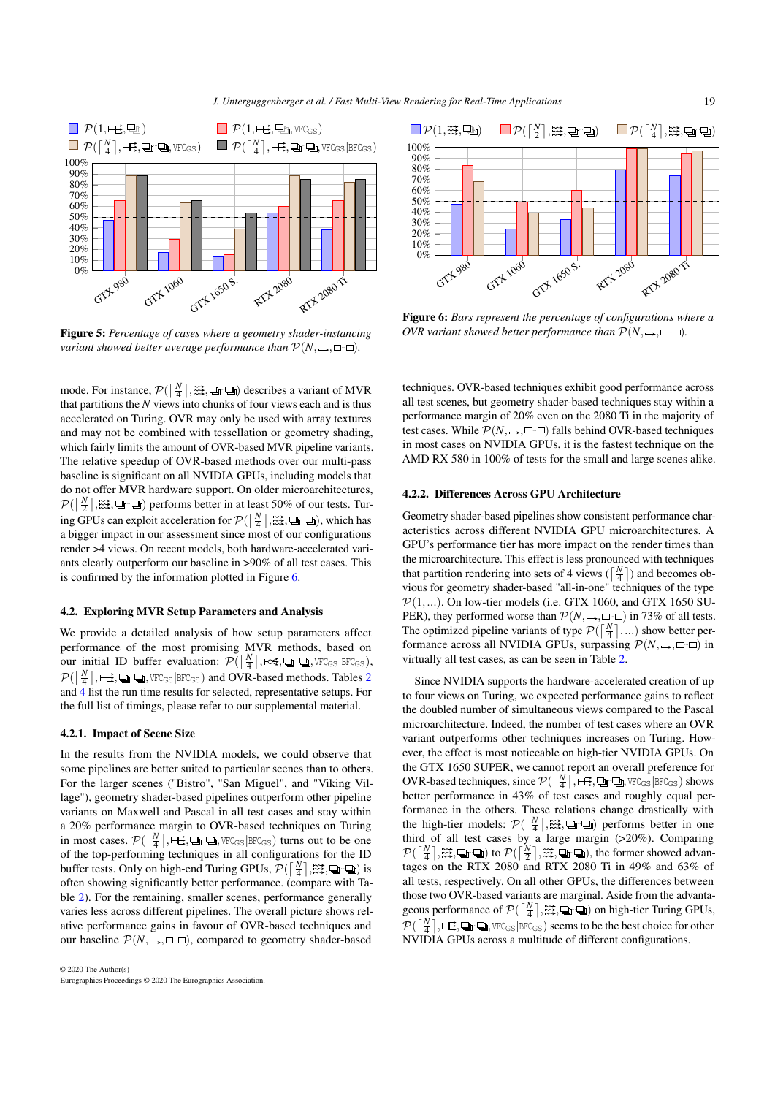<span id="page-6-0"></span>

Figure 5: *Percentage of cases where a geometry shader-instancing variant showed better average performance than*  $\mathcal{P}(N, \rightarrow, \square \neg \square)$ .

mode. For instance,  $\mathcal{P}(\left[\frac{N}{4}\right], \mathbb{Z}, \mathbb{Q}_1, \mathbb{Q})$  describes a variant of MVR that partitions the *N* views into chunks of four views each and is thus accelerated on Turing. OVR may only be used with array textures and may not be combined with tessellation or geometry shading, which fairly limits the amount of OVR-based MVR pipeline variants. The relative speedup of OVR-based methods over our multi-pass baseline is significant on all NVIDIA GPUs, including models that do not offer MVR hardware support. On older microarchitectures,  $\mathcal{P}(\left[\frac{N}{2}\right], \mathbb{Z}, \mathbb{Q}(\mathbb{Z})$  performs better in at least 50% of our tests. Turing GPUs can exploit acceleration for  $\mathcal{P}(\lceil \frac{N}{4} \rceil, \mathbb{X}, \mathbb{Q}_1, \mathbb{Q})$ , which has a bigger impact in our assessment since most of our configurations render >4 views. On recent models, both hardware-accelerated variants clearly outperform our baseline in >90% of all test cases. This is confirmed by the information plotted in Figure [6.](#page-6-1)

# 4.2. Exploring MVR Setup Parameters and Analysis

We provide a detailed analysis of how setup parameters affect performance of the most promising MVR methods, based on our initial ID buffer evaluation:  $\mathcal{P}(\left[\frac{N}{4}\right], \text{Kest}, \text{Qn}, \text{S/NCC}_{\text{GS}} | \text{BFC}_{\text{GS}})$ ,  $\mathcal{P}(\left\lceil \frac{N}{4}\right\rceil, \vdash \pmb{\boxplus}, \pmb{\boxplus}, \pmb{\boxplus} \pmb{\boxplus}, \pmb{\boxplus} \pmb{\boxtimes}_\text{GS} | \pmb{\texttt{BFC}}_\text{GS})$  and OVR-based methods. Tables [2](#page-7-0) and [4](#page-9-1) list the run time results for selected, representative setups. For the full list of timings, please refer to our supplemental material.

# 4.2.1. Impact of Scene Size

In the results from the NVIDIA models, we could observe that some pipelines are better suited to particular scenes than to others. For the larger scenes ("Bistro", "San Miguel", and "Viking Village"), geometry shader-based pipelines outperform other pipeline variants on Maxwell and Pascal in all test cases and stay within a 20% performance margin to OVR-based techniques on Turing in most cases.  $\mathcal{P}(\lceil \frac{N}{4} \rceil, \lceil \frac{N}{4} \rceil, \lceil \frac{N}{4} \rceil, \lceil \frac{N}{4} \rceil, \lceil \frac{N}{4} \rceil)$  turns out to be one of the top-performing techniques in all configurations for the ID buffer tests. Only on high-end Turing GPUs,  $\mathcal{P}(\lceil \frac{N}{4} \rceil, \mathbb{X}; \Box \Box \Box)$  is often showing significantly better performance. (compare with Table [2\)](#page-7-0). For the remaining, smaller scenes, performance generally varies less across different pipelines. The overall picture shows relative performance gains in favour of OVR-based techniques and our baseline  $P(N, \rightarrow, \square \square)$ , compared to geometry shader-based

<span id="page-6-1"></span>

Figure 6: *Bars represent the percentage of configurations where a OVR variant showed better performance than*  $\mathcal{P}(N, \rightarrow, \square \square)$ *.* 

techniques. OVR-based techniques exhibit good performance across all test scenes, but geometry shader-based techniques stay within a performance margin of 20% even on the 2080 Ti in the majority of test cases. While  $\mathcal{P}(N, \rightarrow, \square \square)$  falls behind OVR-based techniques in most cases on NVIDIA GPUs, it is the fastest technique on the AMD RX 580 in 100% of tests for the small and large scenes alike.

# 4.2.2. Differences Across GPU Architecture

Geometry shader-based pipelines show consistent performance characteristics across different NVIDIA GPU microarchitectures. A GPU's performance tier has more impact on the render times than the microarchitecture. This effect is less pronounced with techniques that partition rendering into sets of 4 views ( $\lceil \frac{N}{4} \rceil$ ) and becomes obvious for geometry shader-based "all-in-one" techniques of the type  $\mathcal{P}(1,...)$ . On low-tier models (i.e. GTX 1060, and GTX 1650 SU-PER), they performed worse than  $\mathcal{P}(N, \rightarrow, \square \square)$  in 73% of all tests. The optimized pipeline variants of type  $\mathcal{P}(\lceil \frac{N}{4} \rceil,...)$  show better performance across all NVIDIA GPUs, surpassing  $\mathcal{P}(N, \rightarrow, \square \square)$  in virtually all test cases, as can be seen in Table [2.](#page-7-0)

Since NVIDIA supports the hardware-accelerated creation of up to four views on Turing, we expected performance gains to reflect the doubled number of simultaneous views compared to the Pascal microarchitecture. Indeed, the number of test cases where an OVR variant outperforms other techniques increases on Turing. However, the effect is most noticeable on high-tier NVIDIA GPUs. On the GTX 1650 SUPER, we cannot report an overall preference for OVR-based techniques, since  $\mathcal{P}(\lceil \frac{N}{4} \rceil, \lceil \frac{N}{4} \rceil, \lceil \frac{N}{4} \rceil, \lceil \frac{N}{4} \rceil)$  we  $\mathbb{C}_{\text{GS}}$  | BFC<sub>GS</sub> | bhows better performance in 43% of test cases and roughly equal performance in the others. These relations change drastically with the high-tier models:  $\mathcal{P}(\left[\frac{N}{4}\right], \stackrel{\dots}{\dots}$ ,  $\Box$   $\Box$ ) performs better in one third of all test cases by a large margin (>20%). Comparing  $\mathcal{P}(\lceil \frac{N}{4} \rceil, \mathbb{Z}, \mathbb{Q}_1, \mathbb{Q})$  to  $\mathcal{P}(\lceil \frac{N}{2} \rceil, \mathbb{Z}, \mathbb{Q}_1, \mathbb{Q})$ , the former showed advantages on the RTX 2080 and RTX 2080 Ti in 49% and 63% of all tests, respectively. On all other GPUs, the differences between those two OVR-based variants are marginal. Aside from the advantageous performance of  $\mathcal{P}(\lceil \frac{N}{4} \rceil, \mathbb{X}, \square \rightarrow \square)$  on high-tier Turing GPUs,  $\mathcal{P}(\lceil \frac{N}{4}\rceil, \vdash \pmb{\box{E}}, \pmb{\box{I\!P}} \pmb{\box{I\!P}}_{\mathsf{GS}} | \texttt{BFC}_{\mathsf{GS}})$  seems to be the best choice for other NVIDIA GPUs across a multitude of different configurations.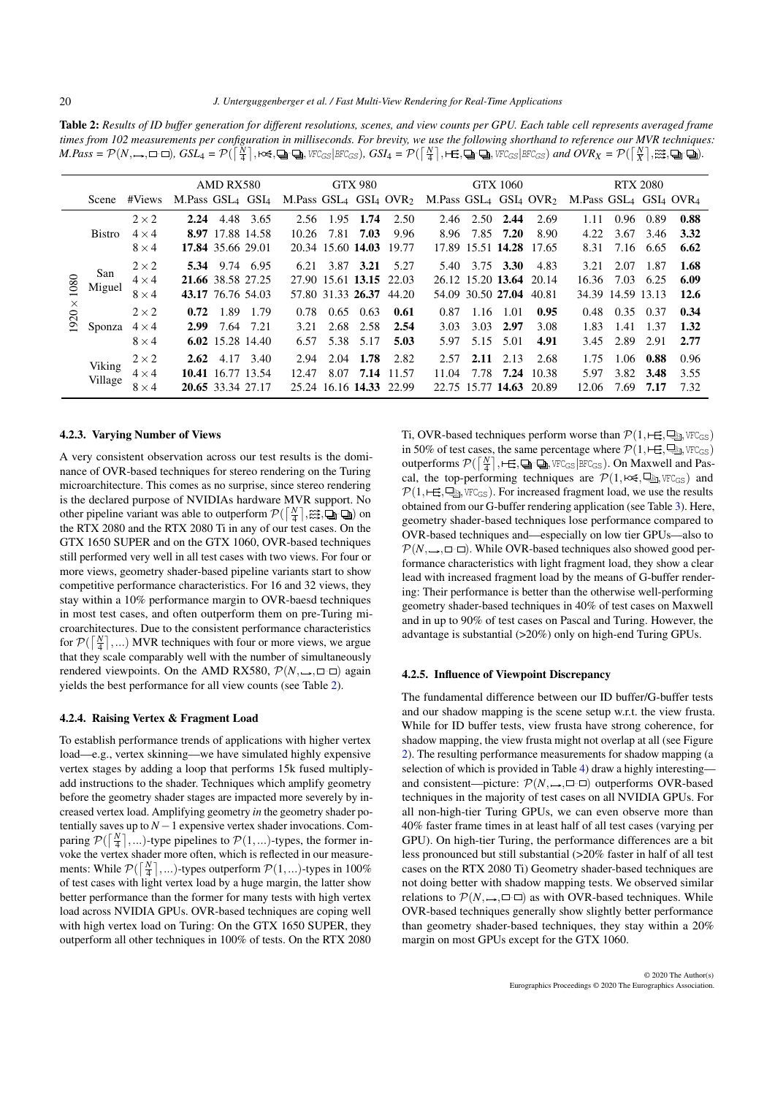<span id="page-7-0"></span>Table 2: *Results of ID buffer generation for different resolutions, scenes, and view counts per GPU. Each table cell represents averaged frame times from 102 measurements per configuration in milliseconds. For brevity, we use the following shorthand to reference our MVR techniques:*  $M.Pass = \mathcal{P}(N,\rightarrow,\Box\neg\Box)$ ,  $GSL_4 = \mathcal{P}(\bar{\lceil\frac{N}{4}\rceil},\boxtimes\neq,\Box\Box\Box)$ ,  $VFC_{GS}|BFC_{GS})$ ,  $GSL_4 = \mathcal{P}(\lceil\frac{N}{4}\rceil,\boxplus\Box\Box)$ ,  $VFC_{GS}|BFC_{GS})$  and  $OVR_X = \mathcal{P}(\lceil\frac{N}{X}\rceil,\boxtimes\Box)\Box$ .

|          |               |              |                        | AMD RX580         |           |                                |                   | <b>GTX 980</b> |                         |                                |      | <b>GTX 1060</b>         |       | <b>RTX 2080</b>                |                   |      |      |
|----------|---------------|--------------|------------------------|-------------------|-----------|--------------------------------|-------------------|----------------|-------------------------|--------------------------------|------|-------------------------|-------|--------------------------------|-------------------|------|------|
|          | Scene         | #Views       | M.Pass $GSL_4$ $GSL_4$ |                   |           | M.Pass $GSL_4$ $GSL_4$ $OVR_2$ |                   |                |                         | M.Pass $GSL_4$ $GSL_4$ $OVR_2$ |      |                         |       | M.Pass $GSL_4$ $GSL_4$ $OVR_4$ |                   |      |      |
|          |               | $2 \times 2$ | 2.24                   |                   | 4.48 3.65 | 2.56                           | 1.95              | 1.74           | 2.50                    | 2.46                           | 2.50 | 2.44                    | 2.69  | 1.11                           | 0.96              | 0.89 | 0.88 |
|          | <b>Bistro</b> | $4 \times 4$ |                        | 8.97 17.88 14.58  |           | 10.26                          | 7.81              | 7.03           | 9.96                    | 8.96                           |      | 7.85 7.20               | 8.90  | 4.22                           | 3.67              | 3.46 | 3.32 |
|          |               | $8 \times 4$ |                        | 17.84 35.66 29.01 |           |                                | 20.34 15.60 14.03 |                | 19.77                   |                                |      | 17.89 15.51 14.28 17.65 |       | 8.31                           | 7.16              | 6.65 | 6.62 |
|          | San<br>Miguel | $2 \times 2$ | 5.34                   |                   | 9.74 6.95 | 6.21                           |                   | 3.87 3.21      | 5.27                    | 5.40                           |      | 3.75 3.30               | 4.83  | 3.21                           | 2.07              | 1.87 | 1.68 |
| 1080     |               | $4 \times 4$ |                        | 21.66 38.58 27.25 |           |                                |                   |                | 27.90 15.61 13.15 22.03 |                                |      | 26.12 15.20 13.64 20.14 |       | 16.36                          | 7.03              | 6.25 | 6.09 |
|          |               | $8 \times 4$ |                        | 43.17 76.76 54.03 |           |                                |                   |                | 57.80 31.33 26.37 44.20 |                                |      | 54.09 30.50 27.04       | 40.81 |                                | 34.39 14.59 13.13 |      | 12.6 |
| $\times$ |               | $2 \times 2$ | 0.72                   | 1.89              | 1.79      | 0.78                           | 0.65              | 0.63           | 0.61                    | 0.87                           | 1.16 | 1.01                    | 0.95  | 0.48                           | 0.35              | 0.37 | 0.34 |
| 1920     | Sponza        | $4 \times 4$ | 2.99                   |                   | 7.64 7.21 | 3.21                           | 2.68              | 2.58           | 2.54                    | 3.03                           | 3.03 | 2.97                    | 3.08  | 1.83                           | 1.41              | 1.37 | 1.32 |
|          |               | $8 \times 4$ |                        | 6.02 15.28 14.40  |           | 6.57                           |                   | 5.38 5.17      | 5.03                    | 5.97                           | 5.15 | 5.01                    | 4.91  | 3.45                           | 2.89              | 2.91 | 2.77 |
|          | Viking        | $2 \times 2$ | 2.62                   | 4.17              | 3.40      | 2.94                           | 2.04              | 1.78           | 2.82                    | 2.57                           | 2.11 | 2.13                    | 2.68  | 1.75                           | 1.06              | 0.88 | 0.96 |
|          |               | $4 \times 4$ |                        | 10.41 16.77 13.54 |           | 12.47                          | 8.07              | 7.14           | 11.57                   | 11.04                          | 7.78 | 7.24                    | 10.38 | 5.97                           | 3.82              | 3.48 | 3.55 |
|          | Village       | $8 \times 4$ |                        | 20.65 33.34 27.17 |           |                                |                   |                | 25.24 16.16 14.33 22.99 |                                |      | 22.75 15.77 14.63       | 20.89 | 12.06                          | 7.69              | 7.17 | 7.32 |

# 4.2.3. Varying Number of Views

A very consistent observation across our test results is the dominance of OVR-based techniques for stereo rendering on the Turing microarchitecture. This comes as no surprise, since stereo rendering is the declared purpose of NVIDIAs hardware MVR support. No other pipeline variant was able to outperform  $\mathcal{P}(\left[\frac{N}{4}\right], \mathbb{Z}, \mathbb{Q}_1, \mathbb{Q})$  on the RTX 2080 and the RTX 2080 Ti in any of our test cases. On the GTX 1650 SUPER and on the GTX 1060, OVR-based techniques still performed very well in all test cases with two views. For four or more views, geometry shader-based pipeline variants start to show competitive performance characteristics. For 16 and 32 views, they stay within a 10% performance margin to OVR-baesd techniques in most test cases, and often outperform them on pre-Turing microarchitectures. Due to the consistent performance characteristics for  $\mathcal{P}(\lceil \frac{N}{4} \rceil, \ldots)$  MVR techniques with four or more views, we argue that they scale comparably well with the number of simultaneously rendered viewpoints. On the AMD RX580,  $\mathcal{P}(N, \rightarrow, \square \square)$  again yields the best performance for all view counts (see Table [2\)](#page-7-0).

# 4.2.4. Raising Vertex & Fragment Load

To establish performance trends of applications with higher vertex load—e.g., vertex skinning—we have simulated highly expensive vertex stages by adding a loop that performs 15k fused multiplyadd instructions to the shader. Techniques which amplify geometry before the geometry shader stages are impacted more severely by increased vertex load. Amplifying geometry *in* the geometry shader potentially saves up to  $N-1$  expensive vertex shader invocations. Comparing  $\mathcal{P}(\lceil \frac{N}{4} \rceil,...)$ -type pipelines to  $\mathcal{P}(1,...)$ -types, the former invoke the vertex shader more often, which is reflected in our measurements: While  $\mathcal{P}(\lceil \frac{N}{4} \rceil,...)$ -types outperform  $\mathcal{P}(1,...)$ -types in 100% of test cases with light vertex load by a huge margin, the latter show better performance than the former for many tests with high vertex load across NVIDIA GPUs. OVR-based techniques are coping well with high vertex load on Turing: On the GTX 1650 SUPER, they outperform all other techniques in 100% of tests. On the RTX 2080

Ti, OVR-based techniques perform worse than  $P(1, \mapsto, \Box)$ ,  $VFC_{GS}$ in 50% of test cases, the same percentage where  $\mathcal{P}(1, \vdash \exists, \exists, \forall \text{FC}_{GS})$ outperforms  $\mathcal{P}(\left[\frac{N}{4}\right], \leftarrow \equiv, \Box_{\mathbb{R}}, \text{VFC}_{\text{GS}} | \text{BFC}_{\text{GS}})$ . On Maxwell and Pascal, the top-performing techniques are  $\mathcal{P}(1, \text{Kest}, \text{L}_1, \text{VFC}_{GS})$  and  $P(1,\mapsto,\Box_{\mathbb{S}},\forall$  FC<sub>GS</sub>). For increased fragment load, we use the results obtained from our G-buffer rendering application (see Table [3\)](#page-8-1). Here, geometry shader-based techniques lose performance compared to OVR-based techniques and—especially on low tier GPUs—also to  $\mathcal{P}(N, \rightarrow, \square \neg \square)$ . While OVR-based techniques also showed good performance characteristics with light fragment load, they show a clear lead with increased fragment load by the means of G-buffer rendering: Their performance is better than the otherwise well-performing geometry shader-based techniques in 40% of test cases on Maxwell and in up to 90% of test cases on Pascal and Turing. However, the advantage is substantial (>20%) only on high-end Turing GPUs.

#### 4.2.5. Influence of Viewpoint Discrepancy

The fundamental difference between our ID buffer/G-buffer tests and our shadow mapping is the scene setup w.r.t. the view frusta. While for ID buffer tests, view frusta have strong coherence, for shadow mapping, the view frusta might not overlap at all (see Figure [2\)](#page-4-0). The resulting performance measurements for shadow mapping (a selection of which is provided in Table [4\)](#page-9-1) draw a highly interesting and consistent—picture:  $\mathcal{P}(N, \rightarrow, \square \neg \square)$  outperforms OVR-based techniques in the majority of test cases on all NVIDIA GPUs. For all non-high-tier Turing GPUs, we can even observe more than 40% faster frame times in at least half of all test cases (varying per GPU). On high-tier Turing, the performance differences are a bit less pronounced but still substantial (>20% faster in half of all test cases on the RTX 2080 Ti) Geometry shader-based techniques are not doing better with shadow mapping tests. We observed similar relations to  $\mathcal{P}(N, \rightarrow, \square \neg \square)$  as with OVR-based techniques. While OVR-based techniques generally show slightly better performance than geometry shader-based techniques, they stay within a 20% margin on most GPUs except for the GTX 1060.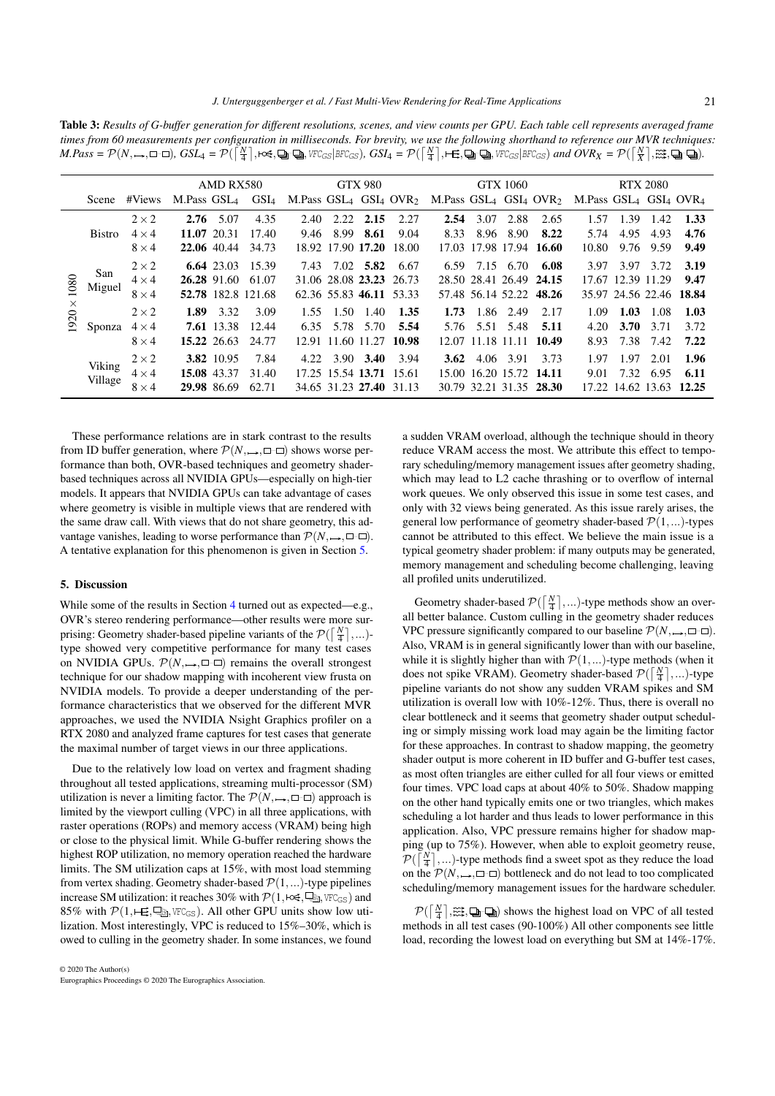<span id="page-8-1"></span>Table 3: *Results of G-buffer generation for different resolutions, scenes, and view counts per GPU. Each table cell represents averaged frame times from 60 measurements per configuration in milliseconds. For brevity, we use the following shorthand to reference our MVR techniques:*  $M.Pass = \mathcal{P}(N,\rightarrow,\Box\neg\Box)$ ,  $GSL_4 = \mathcal{P}(\lceil\frac{N}{4}\rceil,\Leftrightarrow,\Box\neg\Box)$ , VFC $_{GS}|_{BFC_{GS}}$ ),  $GSL_4 = \mathcal{P}(\lceil\frac{N}{4}\rceil,\boxplus,\Box)\cup\Box$ , VFC $_{GS}|_{BFC_{GS}}$ ) and  $OVR_X = \mathcal{P}(\lceil\frac{N}{X}\rceil,\boxtimes,\Box)\cup\Box$ ).

|          |               |              | AMD RX580              |             |                    |      |                   | <b>GTX 980</b> |                         |      | <b>GTX 1060</b>   |                         | <b>RTX 2080</b>                                                                                                                                                               |      |                         |      |
|----------|---------------|--------------|------------------------|-------------|--------------------|------|-------------------|----------------|-------------------------|------|-------------------|-------------------------|-------------------------------------------------------------------------------------------------------------------------------------------------------------------------------|------|-------------------------|------|
|          | Scene         | #Views       | M.Pass $GSL_4$ $GSL_4$ |             |                    |      |                   |                |                         |      |                   |                         | M.Pass GSL <sub>4</sub> GSI <sub>4</sub> OVR <sub>2</sub> M.Pass GSL <sub>4</sub> GSI <sub>4</sub> OVR <sub>2</sub> M.Pass GSL <sub>4</sub> GSI <sub>4</sub> OVR <sub>4</sub> |      |                         |      |
|          |               | $2 \times 2$ |                        | $2.76$ 5.07 | 4.35               | 2.40 | 2.22              | 2.15           | 2.27                    | 2.54 | 3.07 2.88         | 2.65                    | 1.57                                                                                                                                                                          | 1.39 | 1.42                    | 1.33 |
|          | <b>Bistro</b> | $4 \times 4$ |                        | 11.07 20.31 | 17.40              | 9.46 | 8.99              | 8.61           | 9.04                    | 8.33 | 8.96 8.90         | 8.22                    | 5.74                                                                                                                                                                          | 4.95 | 4.93                    | 4.76 |
|          |               | $8 \times 4$ |                        | 22.06 40.44 | 34.73              |      | 18.92 17.90 17.20 |                | 18.00                   |      |                   | 17.03 17.98 17.94 16.60 | 10.80                                                                                                                                                                         | 9.76 | 9.59                    | 9.49 |
|          | San<br>Miguel | $2 \times 2$ |                        | 6.64 23.03  | 15.39              | 7.43 |                   | 7.02 5.82      | 6.67                    | 6.59 | 7.15 6.70         | 6.08                    | 3.97                                                                                                                                                                          | 3.97 | 3.72                    | 3.19 |
| 080      |               | $4 \times 4$ |                        | 26.28 91.60 | 61.07              |      |                   |                | 31.06 28.08 23.23 26.73 |      |                   | 28.50 28.41 26.49 24.15 |                                                                                                                                                                               |      | 17.67 12.39 11.29       | 9.47 |
|          |               | $8 \times 4$ |                        |             | 52.78 182.8 121.68 |      |                   |                | 62.36 55.83 46.11 53.33 |      | 57.48 56.14 52.22 | 48.26                   |                                                                                                                                                                               |      | 35.97 24.56 22.46 18.84 |      |
| $\times$ |               | $2 \times 2$ | 1.89                   | 3.32        | 3.09               | 1.55 | 1.50              | 1.40           | 1.35                    | 1.73 | 1.86 2.49         | 2.17                    | 1.09                                                                                                                                                                          | 1.03 | 1.08                    | 1.03 |
| 1920     | Sponza        | $4 \times 4$ |                        | 7.61 13.38  | 12.44              | 6.35 |                   | 5.78 5.70      | 5.54                    | 5.76 | 5.51 5.48         | 5.11                    | 4.20                                                                                                                                                                          | 3.70 | 3.71                    | 3.72 |
|          |               | $8 \times 4$ |                        | 15.22 26.63 | 24.77              |      |                   |                | 12.91 11.60 11.27 10.98 |      | 12.07 11.18 11.11 | 10.49                   | 8.93                                                                                                                                                                          | 7.38 | 7.42                    | 7.22 |
|          |               | $2 \times 2$ |                        | 3.82 10.95  | 7.84               | 4.22 |                   | 3.90 3.40      | 3.94                    | 3.62 | 4.06 3.91         | 3.73                    | 1.97                                                                                                                                                                          | 1.97 | 2.01                    | 1.96 |
|          | Viking        | $4 \times 4$ |                        | 15.08 43.37 | 31.40              |      | 17.25 15.54 13.71 |                | 15.61                   |      |                   | 15.00 16.20 15.72 14.11 | 9.01                                                                                                                                                                          | 7.32 | 6.95                    | 6.11 |
|          | Village       | $8 \times 4$ |                        | 29.98 86.69 | 62.71              |      |                   |                | 34.65 31.23 27.40 31.13 |      |                   | 30.79 32.21 31.35 28.30 |                                                                                                                                                                               |      | 17.22 14.62 13.63 12.25 |      |

These performance relations are in stark contrast to the results from ID buffer generation, where  $\mathcal{P}(N, \rightarrow, \square \square)$  shows worse performance than both, OVR-based techniques and geometry shaderbased techniques across all NVIDIA GPUs—especially on high-tier models. It appears that NVIDIA GPUs can take advantage of cases where geometry is visible in multiple views that are rendered with the same draw call. With views that do not share geometry, this advantage vanishes, leading to worse performance than  $\mathcal{P}(N, \rightarrow, \square \neg \square)$ . A tentative explanation for this phenomenon is given in Section [5.](#page-8-0)

# <span id="page-8-0"></span>5. Discussion

While some of the results in Section [4](#page-3-0) turned out as expected—e.g., OVR's stereo rendering performance—other results were more surprising: Geometry shader-based pipeline variants of the  $\mathcal{P}(\lceil \frac{N}{4} \rceil,...)$ type showed very competitive performance for many test cases on NVIDIA GPUs.  $\mathcal{P}(N, \rightarrow, \square \neg \square)$  remains the overall strongest technique for our shadow mapping with incoherent view frusta on NVIDIA models. To provide a deeper understanding of the performance characteristics that we observed for the different MVR approaches, we used the NVIDIA Nsight Graphics profiler on a RTX 2080 and analyzed frame captures for test cases that generate the maximal number of target views in our three applications.

Due to the relatively low load on vertex and fragment shading throughout all tested applications, streaming multi-processor (SM) utilization is never a limiting factor. The  $\mathcal{P}(N, \rightarrow, \square \square)$  approach is limited by the viewport culling (VPC) in all three applications, with raster operations (ROPs) and memory access (VRAM) being high or close to the physical limit. While G-buffer rendering shows the highest ROP utilization, no memory operation reached the hardware limits. The SM utilization caps at 15%, with most load stemming from vertex shading. Geometry shader-based  $\mathcal{P}(1,...)$ -type pipelines increase SM utilization: it reaches 30% with  $\mathcal{P}(1, \text{H\& S}, \text{L\& S}, \text{WFC}_{\text{GS}})$  and 85% with  $\mathcal{P}(1, \vdash \equiv, \sqsubseteq_{\text{S}}, \text{vec}_{\text{GS}})$ . All other GPU units show low utilization. Most interestingly, VPC is reduced to 15%–30%, which is owed to culling in the geometry shader. In some instances, we found

a sudden VRAM overload, although the technique should in theory reduce VRAM access the most. We attribute this effect to temporary scheduling/memory management issues after geometry shading, which may lead to L2 cache thrashing or to overflow of internal work queues. We only observed this issue in some test cases, and only with 32 views being generated. As this issue rarely arises, the general low performance of geometry shader-based  $\mathcal{P}(1,...)$ -types cannot be attributed to this effect. We believe the main issue is a typical geometry shader problem: if many outputs may be generated, memory management and scheduling become challenging, leaving all profiled units underutilized.

Geometry shader-based  $\mathcal{P}(\lceil \frac{N}{4} \rceil,...)$ -type methods show an overall better balance. Custom culling in the geometry shader reduces VPC pressure significantly compared to our baseline  $P(N, \rightarrow, \square \square)$ . Also, VRAM is in general significantly lower than with our baseline, while it is slightly higher than with  $P(1,...)$ -type methods (when it does not spike VRAM). Geometry shader-based  $\mathcal{P}(\lceil \frac{N}{4} \rceil,...)$ -type pipeline variants do not show any sudden VRAM spikes and SM utilization is overall low with 10%-12%. Thus, there is overall no clear bottleneck and it seems that geometry shader output scheduling or simply missing work load may again be the limiting factor for these approaches. In contrast to shadow mapping, the geometry shader output is more coherent in ID buffer and G-buffer test cases, as most often triangles are either culled for all four views or emitted four times. VPC load caps at about 40% to 50%. Shadow mapping on the other hand typically emits one or two triangles, which makes scheduling a lot harder and thus leads to lower performance in this application. Also, VPC pressure remains higher for shadow mapping (up to 75%). However, when able to exploit geometry reuse,  $\mathcal{P}(\left\lceil \frac{N}{4} \right\rceil, \ldots)$ -type methods find a sweet spot as they reduce the load on the  $\mathcal{P}(N, \rightarrow, \square \square)$  bottleneck and do not lead to too complicated scheduling/memory management issues for the hardware scheduler.

 $\mathcal{P}(\lceil \frac{N}{4} \rceil, \mathbb{Z}, \mathbb{Q}(\mathbb{Q})$  shows the highest load on VPC of all tested methods in all test cases (90-100%) All other components see little load, recording the lowest load on everything but SM at 14%-17%.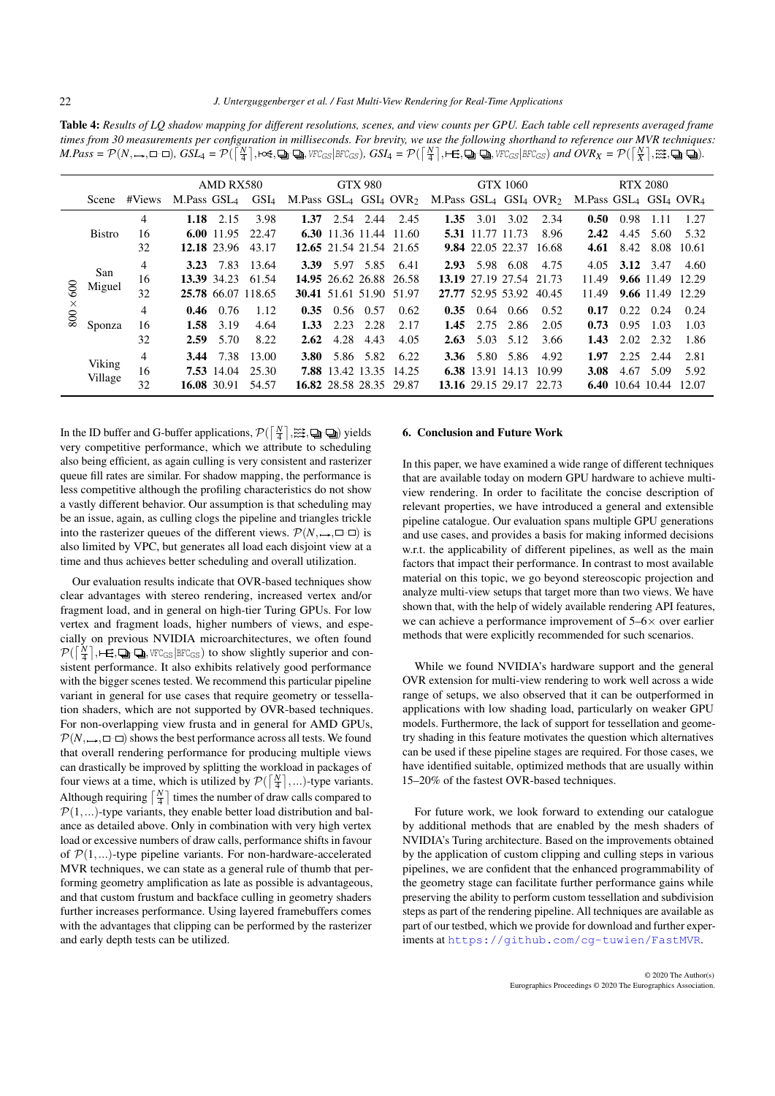<span id="page-9-1"></span>Table 4: *Results of LQ shadow mapping for different resolutions, scenes, and view counts per GPU. Each table cell represents averaged frame times from 30 measurements per configuration in milliseconds. For brevity, we use the following shorthand to reference our MVR techniques:*  $M.Pass = \mathcal{P}(N,\rightarrow,\Box\neg\Box)$ ,  $GSL_4 = \mathcal{P}(\lceil\frac{N}{4}\rceil,\Leftrightarrow,\Box\neg\Box)$ , VFC $_{GS}|_{BFC_{GS}}$ ),  $GSL_4 = \mathcal{P}(\lceil\frac{N}{4}\rceil,\boxplus,\Box)\cup\Box$ , VFC $_{GS}|_{BFC_{GS}}$ ) and  $OVR_X = \mathcal{P}(\lceil\frac{N}{X}\rceil,\boxtimes,\Box)\cup\Box$ ).

|                 |               |                | AMD RX580              |                   |                    |                                |      | <b>GTX 980</b> |                         |                                |                  | <b>GTX 1060</b>         |        | <b>RTX 2080</b>                |      |                  |            |  |
|-----------------|---------------|----------------|------------------------|-------------------|--------------------|--------------------------------|------|----------------|-------------------------|--------------------------------|------------------|-------------------------|--------|--------------------------------|------|------------------|------------|--|
|                 |               | Scene #Views   | M.Pass $GSL_4$ $GSL_4$ |                   |                    | M.Pass $GSL_4$ $GSL_4$ $OVR_2$ |      |                |                         | M.Pass $GSL_4$ $GSL_4$ $OVR_2$ |                  |                         |        | M.Pass $GSL_4$ $GSL_4$ $OVR_4$ |      |                  |            |  |
|                 |               | 4              | 1.18                   | 2.15              | 3.98               | 1.37                           |      | 2.54 2.44      | 2.45                    | 1.35                           | 3.01             | 3.02                    | 2.34   | 0.50                           | 0.98 | 1.11             | 1.27       |  |
|                 | <b>Bistro</b> | 16             |                        | 6.00 $11.95$      | 22.47              |                                |      |                | 6.30 11.36 11.44 11.60  |                                | 5.31 11.77 11.73 |                         | 8.96   | 2.42                           | 4.45 | 5.60             | 5.32       |  |
|                 |               | 32             |                        | 12.18 23.96       | 43.17              |                                |      |                | 12.65 21.54 21.54 21.65 |                                |                  | 9.84 22.05 22.37        | -16.68 | 4.61                           | 8.42 |                  | 8.08 10.61 |  |
|                 | San<br>Miguel | 4              |                        | 3.23 7.83         | 13.64              | 3.39                           |      |                | 5.97 5.85 6.41          | 2.93                           |                  | 5.98 6.08               | 4.75   | 4.05                           |      | 3.12 3.47        | 4.60       |  |
|                 |               | 16             |                        | 13.39 34.23       | 61.54              |                                |      |                | 14.95 26.62 26.88 26.58 |                                |                  | 13.19 27.19 27.54 21.73 |        | 11.49                          |      | 9.66 11.49 12.29 |            |  |
| 600             |               | 32             |                        |                   | 25.78 66.07 118.65 |                                |      |                | 30.41 51.61 51.90 51.97 |                                |                  | 27.77 52.95 53.92       | 40.45  | 11.49                          |      | 9.66 11.49 12.29 |            |  |
| $\times$<br>800 |               | 4              |                        | $0.46 \quad 0.76$ | 1.12               | 0.35                           |      | 0.56 0.57      | 0.62                    | 0.35                           | 0.64             | 0.66                    | 0.52   | 0.17                           | 0.22 | 0.24             | 0.24       |  |
|                 | Sponza        | 16             | 1.58                   | 3.19              | 4.64               | 1.33                           | 2.23 | 2.28           | 2.17                    | 1.45                           | 2.75             | -2.86                   | 2.05   | 0.73                           | 0.95 | 1.03             | 1.03       |  |
|                 |               | 32             | 2.59                   | 5.70              | 8.22               | 2.62                           | 4.28 | 4.43           | 4.05                    | 2.63                           | 5.03             | 5.12                    | 3.66   | 1.43                           | 2.02 | 2.32             | 1.86       |  |
|                 |               | $\overline{4}$ | 3.44                   | 7.38              | 13.00              | 3.80                           |      | 5.86 5.82      | 6.22                    | 3.36                           | 5.80             | 5.86                    | 4.92   | 1.97                           | 2.25 | 2.44             | 2.81       |  |
|                 | Viking        | 16             |                        | 7.53 14.04        | 25.30              |                                |      |                | 7.88 13.42 13.35 14.25  |                                |                  | 6.38 13.91 14.13        | 10.99  | 3.08                           | 4.67 | 5.09             | 5.92       |  |
|                 | Village       | 32             |                        | 16.08 30.91       | 54.57              |                                |      |                | 16.82 28.58 28.35 29.87 |                                |                  | 13.16 29.15 29.17       | 22.73  |                                |      | 6.40 10.64 10.44 | 12.07      |  |

In the ID buffer and G-buffer applications,  $\mathcal{P}(\lceil \frac{N}{4} \rceil, \widetilde{\mathbb{R}^2}, \mathbb{Q}_P \mathbb{Q})$  yields very competitive performance, which we attribute to scheduling also being efficient, as again culling is very consistent and rasterizer queue fill rates are similar. For shadow mapping, the performance is less competitive although the profiling characteristics do not show a vastly different behavior. Our assumption is that scheduling may be an issue, again, as culling clogs the pipeline and triangles trickle into the rasterizer queues of the different views.  $\mathcal{P}(N, \rightarrow, \square \neg \square)$  is also limited by VPC, but generates all load each disjoint view at a time and thus achieves better scheduling and overall utilization.

Our evaluation results indicate that OVR-based techniques show clear advantages with stereo rendering, increased vertex and/or fragment load, and in general on high-tier Turing GPUs. For low vertex and fragment loads, higher numbers of views, and especially on previous NVIDIA microarchitectures, we often found  $\mathcal{P}(\left\lceil \frac{N}{4}\right\rceil, \text{+E}, \text{Q}_i \text{+Q}_i, \text{WCG}_S | \text{BFC}_{GS})$  to show slightly superior and consistent performance. It also exhibits relatively good performance with the bigger scenes tested. We recommend this particular pipeline variant in general for use cases that require geometry or tessellation shaders, which are not supported by OVR-based techniques. For non-overlapping view frusta and in general for AMD GPUs,  $\mathcal{P}(N, \rightarrow, \square \neg \square)$  shows the best performance across all tests. We found that overall rendering performance for producing multiple views can drastically be improved by splitting the workload in packages of four views at a time, which is utilized by  $\mathcal{P}(\lceil \frac{N}{4} \rceil,...)$ -type variants. Although requiring  $\lceil \frac{N}{4} \rceil$  times the number of draw calls compared to  $P(1,...)$ -type variants, they enable better load distribution and balance as detailed above. Only in combination with very high vertex load or excessive numbers of draw calls, performance shifts in favour of  $\mathcal{P}(1,...)$ -type pipeline variants. For non-hardware-accelerated MVR techniques, we can state as a general rule of thumb that performing geometry amplification as late as possible is advantageous, and that custom frustum and backface culling in geometry shaders further increases performance. Using layered framebuffers comes with the advantages that clipping can be performed by the rasterizer and early depth tests can be utilized.

# <span id="page-9-0"></span>6. Conclusion and Future Work

In this paper, we have examined a wide range of different techniques that are available today on modern GPU hardware to achieve multiview rendering. In order to facilitate the concise description of relevant properties, we have introduced a general and extensible pipeline catalogue. Our evaluation spans multiple GPU generations and use cases, and provides a basis for making informed decisions w.r.t. the applicability of different pipelines, as well as the main factors that impact their performance. In contrast to most available material on this topic, we go beyond stereoscopic projection and analyze multi-view setups that target more than two views. We have shown that, with the help of widely available rendering API features, we can achieve a performance improvement of  $5-6\times$  over earlier methods that were explicitly recommended for such scenarios.

While we found NVIDIA's hardware support and the general OVR extension for multi-view rendering to work well across a wide range of setups, we also observed that it can be outperformed in applications with low shading load, particularly on weaker GPU models. Furthermore, the lack of support for tessellation and geometry shading in this feature motivates the question which alternatives can be used if these pipeline stages are required. For those cases, we have identified suitable, optimized methods that are usually within 15–20% of the fastest OVR-based techniques.

For future work, we look forward to extending our catalogue by additional methods that are enabled by the mesh shaders of NVIDIA's Turing architecture. Based on the improvements obtained by the application of custom clipping and culling steps in various pipelines, we are confident that the enhanced programmability of the geometry stage can facilitate further performance gains while preserving the ability to perform custom tessellation and subdivision steps as part of the rendering pipeline. All techniques are available as part of our testbed, which we provide for download and further experiments at <https://github.com/cg-tuwien/FastMVR>.